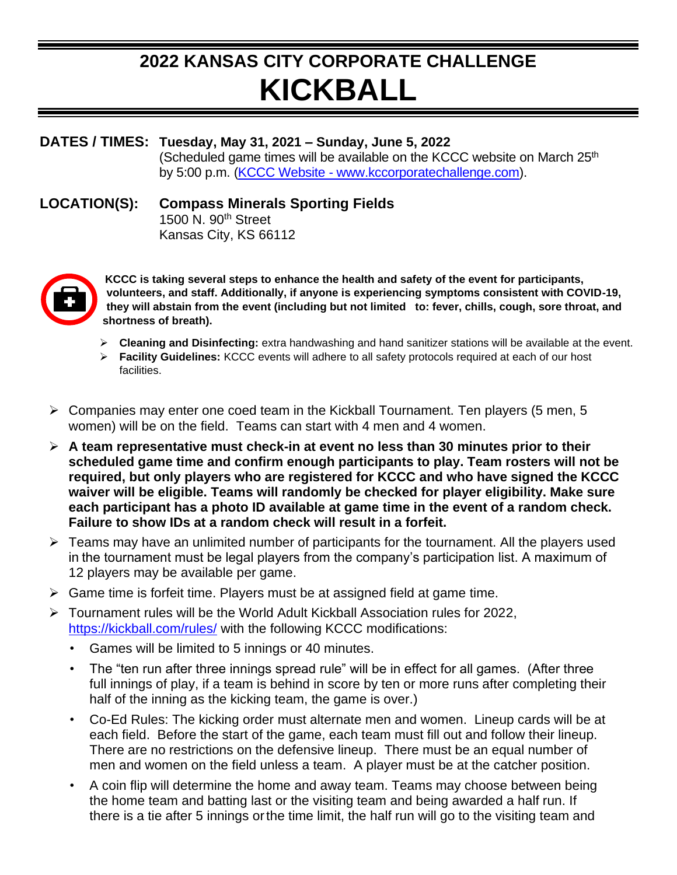## **2022 KANSAS CITY CORPORATE CHALLENGE KICKBALL**

## **DATES / TIMES: Tuesday, May 31, 2021 – Sunday, June 5, 2022**

(Scheduled game times will be available on the KCCC website on March 25<sup>th</sup> by 5:00 p.m. (KCCC Website - [www.kccorporatechallenge.com\)](http://www.kccorporatechallenge.com/).

## **LOCATION(S): Compass Minerals Sporting Fields**

1500 N. 90th Street Kansas City, KS 66112



**KCCC is taking several steps to enhance the health and safety of the event for participants, volunteers, and staff. Additionally, if anyone is experiencing symptoms consistent with COVID-19, they will abstain from the event (including but not limited to: fever, chills, cough, sore throat, and shortness of breath).**

- ➢ **Cleaning and Disinfecting:** extra handwashing and hand sanitizer stations will be available at the event.
- ➢ **Facility Guidelines:** KCCC events will adhere to all safety protocols required at each of our host facilities.
- ➢ Companies may enter one coed team in the Kickball Tournament. Ten players (5 men, 5 women) will be on the field. Teams can start with 4 men and 4 women.
- ➢ **A team representative must check-in at event no less than 30 minutes prior to their scheduled game time and confirm enough participants to play. Team rosters will not be required, but only players who are registered for KCCC and who have signed the KCCC waiver will be eligible. Teams will randomly be checked for player eligibility. Make sure each participant has a photo ID available at game time in the event of a random check. Failure to show IDs at a random check will result in a forfeit.**
- ➢ Teams may have an unlimited number of participants for the tournament. All the players used in the tournament must be legal players from the company's participation list. A maximum of 12 players may be available per game.
- ➢ Game time is forfeit time. Players must be at assigned field at game time.
- ➢ Tournament rules will be the World Adult Kickball Association rules for 2022, <https://kickball.com/rules/> with the following KCCC modifications:
	- Games will be limited to 5 innings or 40 minutes.
	- The "ten run after three innings spread rule" will be in effect for all games. (After three full innings of play, if a team is behind in score by ten or more runs after completing their half of the inning as the kicking team, the game is over.)
	- Co-Ed Rules: The kicking order must alternate men and women. Lineup cards will be at each field. Before the start of the game, each team must fill out and follow their lineup. There are no restrictions on the defensive lineup. There must be an equal number of men and women on the field unless a team. A player must be at the catcher position.
	- A coin flip will determine the home and away team. Teams may choose between being the home team and batting last or the visiting team and being awarded a half run. If there is a tie after 5 innings orthe time limit, the half run will go to the visiting team and